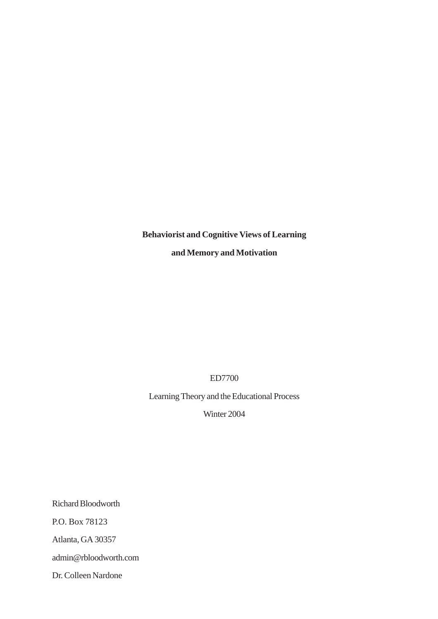# **Behaviorist and Cognitive Views of Learning and Memory and Motivation**

ED7700

Learning Theory and the Educational Process

Winter 2004

Richard Bloodworth P.O. Box 78123 Atlanta, GA 30357 admin@rbloodworth.com Dr. Colleen Nardone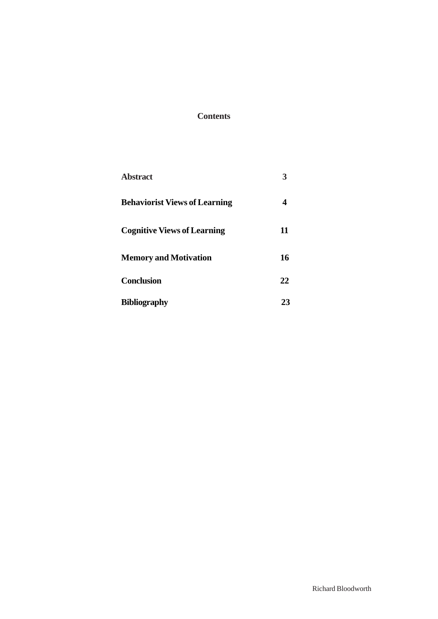# **Contents**

| <b>Abstract</b>                      |    |
|--------------------------------------|----|
| <b>Behaviorist Views of Learning</b> | 4  |
| <b>Cognitive Views of Learning</b>   | 11 |
| <b>Memory and Motivation</b>         | 16 |
| <b>Conclusion</b>                    | 22 |
| <b>Bibliography</b>                  | 23 |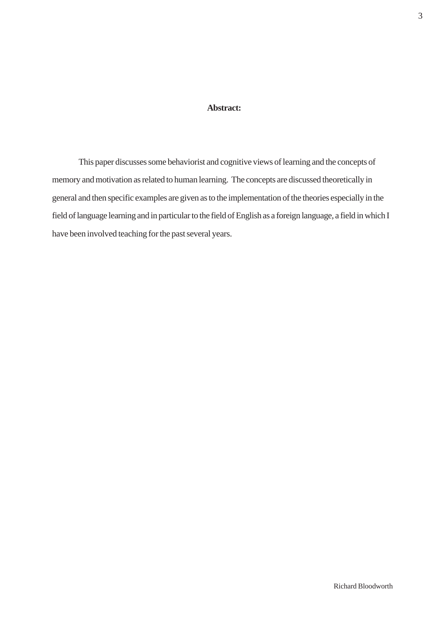## **Abstract:**

This paper discusses some behaviorist and cognitive views of learning and the concepts of memory and motivation as related to human learning. The concepts are discussed theoretically in general and then specific examples are given as to the implementation of the theories especially in the field of language learning and in particular to the field of English as a foreign language, a field in which I have been involved teaching for the past several years.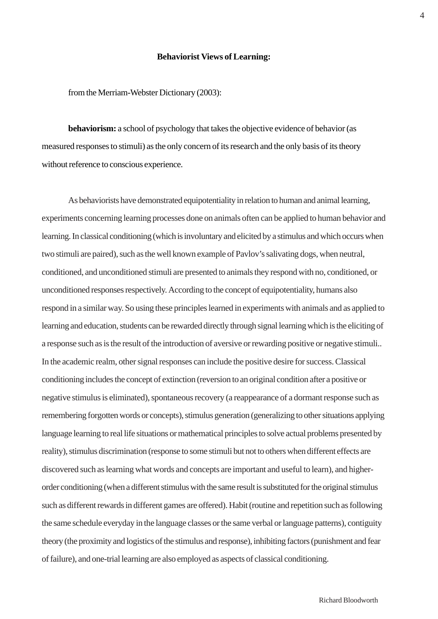### **Behaviorist Views of Learning:**

from the Merriam-Webster Dictionary (2003):

**behaviorism:** a school of psychology that takes the objective evidence of behavior (as measured responses to stimuli) as the only concern of its research and the only basis of its theory without reference to conscious experience.

As behaviorists have demonstrated equipotentiality in relation to human and animal learning, experiments concerning learning processes done on animals often can be applied to human behavior and learning. In classical conditioning (which is involuntary and elicited by a stimulus and which occurs when two stimuli are paired), such as the well known example of Pavlov's salivating dogs, when neutral, conditioned, and unconditioned stimuli are presented to animals they respond with no, conditioned, or unconditioned responses respectively. According to the concept of equipotentiality, humans also respond in a similar way. So using these principles learned in experiments with animals and as applied to learning and education, students can be rewarded directly through signal learning which is the eliciting of a response such as is the result of the introduction of aversive or rewarding positive or negative stimuli.. In the academic realm, other signal responses can include the positive desire for success. Classical conditioning includes the concept of extinction (reversion to an original condition after a positive or negative stimulus is eliminated), spontaneous recovery (a reappearance of a dormant response such as remembering forgotten words or concepts), stimulus generation (generalizing to other situations applying language learning to real life situations or mathematical principles to solve actual problems presented by reality), stimulus discrimination (response to some stimuli but not to others when different effects are discovered such as learning what words and concepts are important and useful to learn), and higherorder conditioning (when a different stimulus with the same result is substituted for the original stimulus such as different rewards in different games are offered). Habit (routine and repetition such as following the same schedule everyday in the language classes or the same verbal or language patterns), contiguity theory (the proximity and logistics of the stimulus and response), inhibiting factors (punishment and fear of failure), and one-trial learning are also employed as aspects of classical conditioning.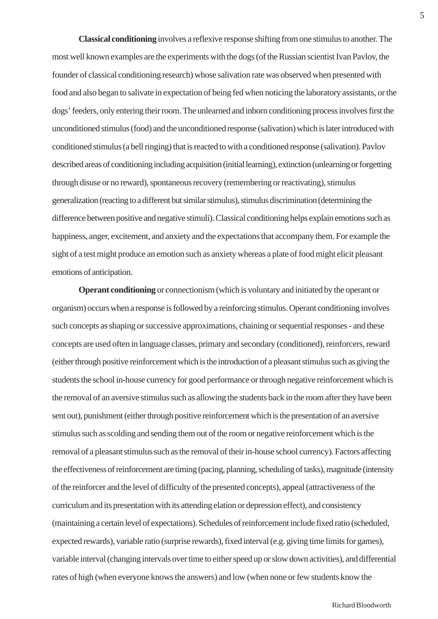**Classical conditioning** involves a reflexive response shifting from one stimulus to another. The most well known examples are the experiments with the dogs (of the Russian scientist Ivan Pavlov, the founder of classical conditioning research) whose salivation rate was observed when presented with food and also began to salivate in expectation of being fed when noticing the laboratory assistants, or the dogs' feeders, only entering their room. The unlearned and inborn conditioning process involves first the unconditioned stimulus (food) and the unconditioned response (salivation) which is later introduced with conditioned stimulus (a bell ringing) that is reacted to with a conditioned response (salivation). Pavlov described areas of conditioning including acquisition (initial learning), extinction (unlearning or forgetting through disuse or no reward), spontaneous recovery (remembering or reactivating), stimulus generalization (reacting to a different but similar stimulus), stimulus discrimination (determining the difference between positive and negative stimuli). Classical conditioning helps explain emotions such as happiness, anger, excitement, and anxiety and the expectations that accompany them. For example the sight of a test might produce an emotion such as anxiety whereas a plate of food might elicit pleasant emotions of anticipation.

**Operant conditioning** or connectionism (which is voluntary and initiated by the operant or organism) occurs when a response is followed by a reinforcing stimulus. Operant conditioning involves such concepts as shaping or successive approximations, chaining or sequential responses - and these concepts are used often in language classes, primary and secondary (conditioned), reinforcers, reward (either through positive reinforcement which is the introduction of a pleasant stimulus such as giving the students the school in-house currency for good performance or through negative reinforcement which is the removal of an aversive stimulus such as allowing the students back in the room after they have been sent out), punishment (either through positive reinforcement which is the presentation of an aversive stimulus such as scolding and sending them out of the room or negative reinforcement which is the removal of a pleasant stimulus such as the removal of their in-house school currency). Factors affecting the effectiveness of reinforcement are timing (pacing, planning, scheduling of tasks), magnitude (intensity of the reinforcer and the level of difficulty of the presented concepts), appeal (attractiveness of the curriculum and its presentation with its attending elation or depression effect), and consistency (maintaining a certain level of expectations). Schedules of reinforcement include fixed ratio (scheduled, expected rewards), variable ratio (surprise rewards), fixed interval (e.g. giving time limits for games), variable interval (changing intervals over time to either speed up or slow down activities), and differential rates of high (when everyone knows the answers) and low (when none or few students know the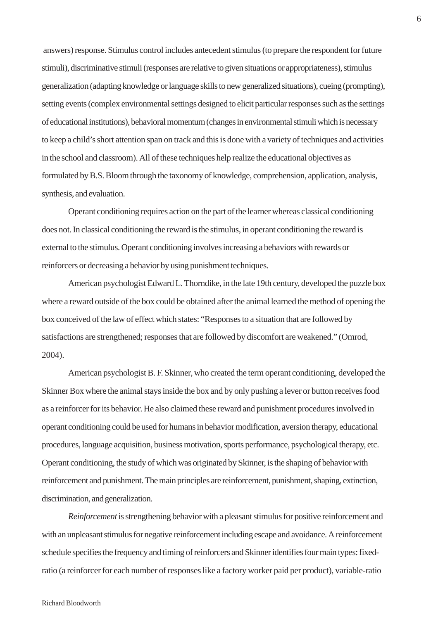answers) response. Stimulus control includes antecedent stimulus (to prepare the respondent for future stimuli), discriminative stimuli (responses are relative to given situations or appropriateness), stimulus generalization (adapting knowledge or language skills to new generalized situations), cueing (prompting), setting events (complex environmental settings designed to elicit particular responses such as the settings of educational institutions), behavioral momentum (changes in environmental stimuli which is necessary to keep a child's short attention span on track and this is done with a variety of techniques and activities in the school and classroom). All of these techniques help realize the educational objectives as formulated by B.S. Bloom through the taxonomy of knowledge, comprehension, application, analysis, synthesis, and evaluation.

Operant conditioning requires action on the part of the learner whereas classical conditioning does not. In classical conditioning the reward is the stimulus, in operant conditioning the reward is external to the stimulus. Operant conditioning involves increasing a behaviors with rewards or reinforcers or decreasing a behavior by using punishment techniques.

American psychologist Edward L. Thorndike, in the late 19th century, developed the puzzle box where a reward outside of the box could be obtained after the animal learned the method of opening the box conceived of the law of effect which states: "Responses to a situation that are followed by satisfactions are strengthened; responses that are followed by discomfort are weakened." (Omrod, 2004).

American psychologist B. F. Skinner, who created the term operant conditioning, developed the Skinner Box where the animal stays inside the box and by only pushing a lever or button receives food as a reinforcer for its behavior. He also claimed these reward and punishment procedures involved in operant conditioning could be used for humans in behavior modification, aversion therapy, educational procedures, language acquisition, business motivation, sports performance, psychological therapy, etc. Operant conditioning, the study of which was originated by Skinner, is the shaping of behavior with reinforcement and punishment. The main principles are reinforcement, punishment, shaping, extinction, discrimination, and generalization.

*Reinforcement* is strengthening behavior with a pleasant stimulus for positive reinforcement and with an unpleasant stimulus for negative reinforcement including escape and avoidance. A reinforcement schedule specifies the frequency and timing of reinforcers and Skinner identifies four main types: fixedratio (a reinforcer for each number of responses like a factory worker paid per product), variable-ratio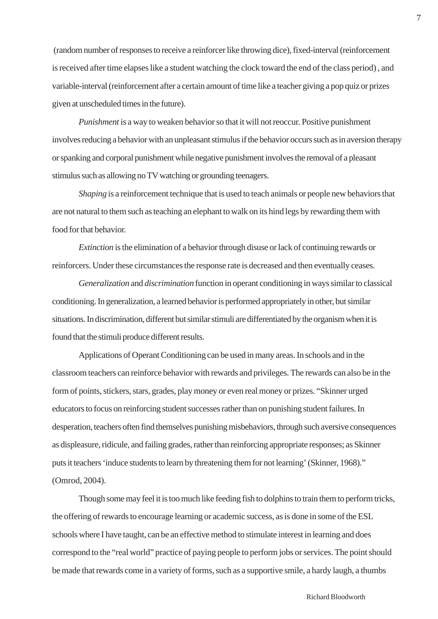(random number of responses to receive a reinforcer like throwing dice), fixed-interval (reinforcement is received after time elapses like a student watching the clock toward the end of the class period) , and variable-interval (reinforcement after a certain amount of time like a teacher giving a pop quiz or prizes given at unscheduled times in the future).

*Punishment* is a way to weaken behavior so that it will not reoccur. Positive punishment involves reducing a behavior with an unpleasant stimulus if the behavior occurs such as in aversion therapy or spanking and corporal punishment while negative punishment involves the removal of a pleasant stimulus such as allowing no TV watching or grounding teenagers.

*Shaping* is a reinforcement technique that is used to teach animals or people new behaviors that are not natural to them such as teaching an elephant to walk on its hind legs by rewarding them with food for that behavior.

*Extinction* is the elimination of a behavior through disuse or lack of continuing rewards or reinforcers. Under these circumstances the response rate is decreased and then eventually ceases.

*Generalization* and *discrimination* function in operant conditioning in ways similar to classical conditioning. In generalization, a learned behavior is performed appropriately in other, but similar situations. In discrimination, different but similar stimuli are differentiated by the organism when it is found that the stimuli produce different results.

Applications of Operant Conditioning can be used in many areas. In schools and in the classroom teachers can reinforce behavior with rewards and privileges. The rewards can also be in the form of points, stickers, stars, grades, play money or even real money or prizes. "Skinner urged educators to focus on reinforcing student successes rather than on punishing student failures. In desperation, teachers often find themselves punishing misbehaviors, through such aversive consequences as displeasure, ridicule, and failing grades, rather than reinforcing appropriate responses; as Skinner puts it teachers 'induce students to learn by threatening them for not learning' (Skinner, 1968)." (Omrod, 2004).

Though some may feel it is too much like feeding fish to dolphins to train them to perform tricks, the offering of rewards to encourage learning or academic success, as is done in some of the ESL schools where I have taught, can be an effective method to stimulate interest in learning and does correspond to the "real world" practice of paying people to perform jobs or services. The point should be made that rewards come in a variety of forms, such as a supportive smile, a hardy laugh, a thumbs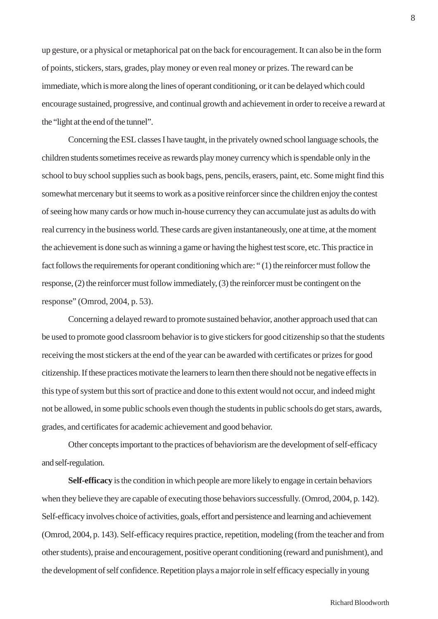up gesture, or a physical or metaphorical pat on the back for encouragement. It can also be in the form of points, stickers, stars, grades, play money or even real money or prizes. The reward can be immediate, which is more along the lines of operant conditioning, or it can be delayed which could encourage sustained, progressive, and continual growth and achievement in order to receive a reward at the "light at the end of the tunnel".

Concerning the ESL classes I have taught, in the privately owned school language schools, the children students sometimes receive as rewards play money currency which is spendable only in the school to buy school supplies such as book bags, pens, pencils, erasers, paint, etc. Some might find this somewhat mercenary but it seems to work as a positive reinforcer since the children enjoy the contest of seeing how many cards or how much in-house currency they can accumulate just as adults do with real currency in the business world. These cards are given instantaneously, one at time, at the moment the achievement is done such as winning a game or having the highest test score, etc. This practice in fact follows the requirements for operant conditioning which are: " (1) the reinforcer must follow the response, (2) the reinforcer must follow immediately, (3) the reinforcer must be contingent on the response" (Omrod, 2004, p. 53).

Concerning a delayed reward to promote sustained behavior, another approach used that can be used to promote good classroom behavior is to give stickers for good citizenship so that the students receiving the most stickers at the end of the year can be awarded with certificates or prizes for good citizenship. If these practices motivate the learners to learn then there should not be negative effects in this type of system but this sort of practice and done to this extent would not occur, and indeed might not be allowed, in some public schools even though the students in public schools do get stars, awards, grades, and certificates for academic achievement and good behavior.

Other concepts important to the practices of behaviorism are the development of self-efficacy and self-regulation.

**Self-efficacy** is the condition in which people are more likely to engage in certain behaviors when they believe they are capable of executing those behaviors successfully. (Omrod, 2004, p. 142). Self-efficacy involves choice of activities, goals, effort and persistence and learning and achievement (Omrod, 2004, p. 143). Self-efficacy requires practice, repetition, modeling (from the teacher and from other students), praise and encouragement, positive operant conditioning (reward and punishment), and the development of self confidence. Repetition plays a major role in self efficacy especially in young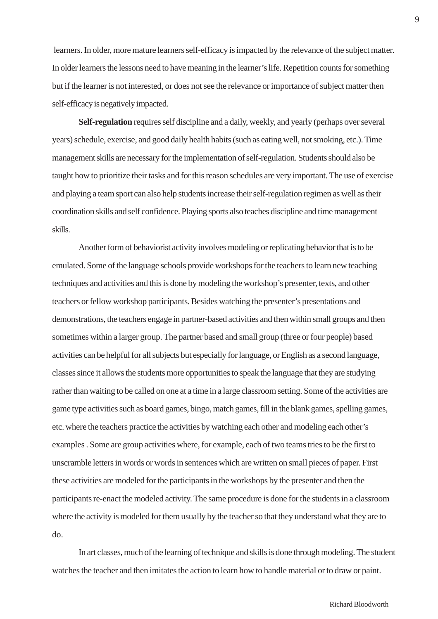learners. In older, more mature learners self-efficacy is impacted by the relevance of the subject matter. In older learners the lessons need to have meaning in the learner's life. Repetition counts for something but if the learner is not interested, or does not see the relevance or importance of subject matter then self-efficacy is negatively impacted.

**Self-regulation** requires self discipline and a daily, weekly, and yearly (perhaps over several years) schedule, exercise, and good daily health habits (such as eating well, not smoking, etc.). Time management skills are necessary for the implementation of self-regulation. Students should also be taught how to prioritize their tasks and for this reason schedules are very important. The use of exercise and playing a team sport can also help students increase their self-regulation regimen as well as their coordination skills and self confidence. Playing sports also teaches discipline and time management skills.

Another form of behaviorist activity involves modeling or replicating behavior that is to be emulated. Some of the language schools provide workshops for the teachers to learn new teaching techniques and activities and this is done by modeling the workshop's presenter, texts, and other teachers or fellow workshop participants. Besides watching the presenter's presentations and demonstrations, the teachers engage in partner-based activities and then within small groups and then sometimes within a larger group. The partner based and small group (three or four people) based activities can be helpful for all subjects but especially for language, or English as a second language, classes since it allows the students more opportunities to speak the language that they are studying rather than waiting to be called on one at a time in a large classroom setting. Some of the activities are game type activities such as board games, bingo, match games, fill in the blank games, spelling games, etc. where the teachers practice the activities by watching each other and modeling each other's examples . Some are group activities where, for example, each of two teams tries to be the first to unscramble letters in words or words in sentences which are written on small pieces of paper. First these activities are modeled for the participants in the workshops by the presenter and then the participants re-enact the modeled activity. The same procedure is done for the students in a classroom where the activity is modeled for them usually by the teacher so that they understand what they are to do.

In art classes, much of the learning of technique and skills is done through modeling. The student watches the teacher and then imitates the action to learn how to handle material or to draw or paint.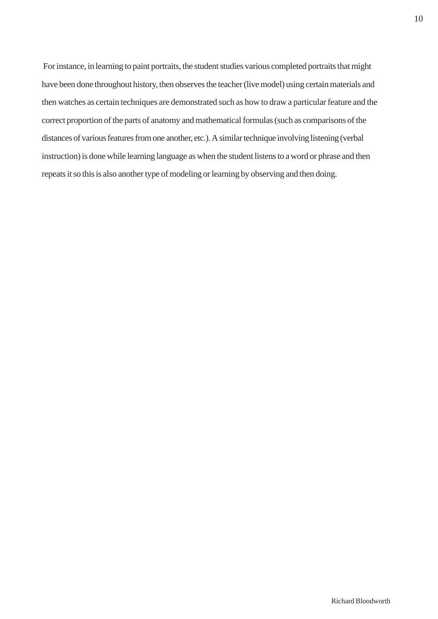For instance, in learning to paint portraits, the student studies various completed portraits that might have been done throughout history, then observes the teacher (live model) using certain materials and then watches as certain techniques are demonstrated such as how to draw a particular feature and the correct proportion of the parts of anatomy and mathematical formulas (such as comparisons of the distances of various features from one another, etc.). A similar technique involving listening (verbal instruction) is done while learning language as when the student listens to a word or phrase and then repeats it so this is also another type of modeling or learning by observing and then doing.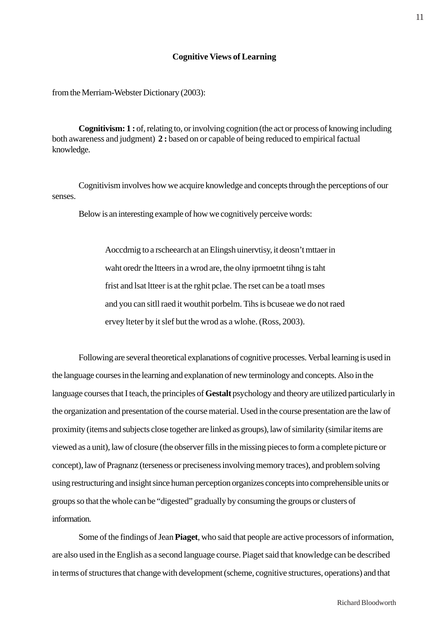## **Cognitive Views of Learning**

from the Merriam-Webster Dictionary (2003):

**Cognitivism: 1 :** of, relating to, or involving cognition (the act or process of knowing including both awareness and judgment) **2 :** based on or capable of being reduced to empirical factual knowledge.

Cognitivism involves how we acquire knowledge and concepts through the perceptions of our senses.

Below is an interesting example of how we cognitively perceive words:

Aoccdrnig to a rscheearch at an Elingsh uinervtisy, it deosn't mttaer in waht oredr the ltteers in a wrod are, the olny iprmoetnt tihng is taht frist and lsat ltteer is at the rghit pclae. The rset can be a toatl mses and you can sitll raed it wouthit porbelm. Tihs is bcuseae we do not raed ervey lteter by it slef but the wrod as a wlohe. (Ross, 2003).

Following are several theoretical explanations of cognitive processes. Verbal learning is used in the language courses in the learning and explanation of new terminology and concepts. Also in the language courses that I teach, the principles of **Gestalt** psychology and theory are utilized particularly in the organization and presentation of the course material. Used in the course presentation are the law of proximity (items and subjects close together are linked as groups), law of similarity (similar items are viewed as a unit), law of closure (the observer fills in the missing pieces to form a complete picture or concept), law of Pragnanz (terseness or preciseness involving memory traces), and problem solving using restructuring and insight since human perception organizes concepts into comprehensible units or groups so that the whole can be "digested" gradually by consuming the groups or clusters of information.

Some of the findings of Jean **Piaget**, who said that people are active processors of information, are also used in the English as a second language course. Piaget said that knowledge can be described in terms of structures that change with development (scheme, cognitive structures, operations) and that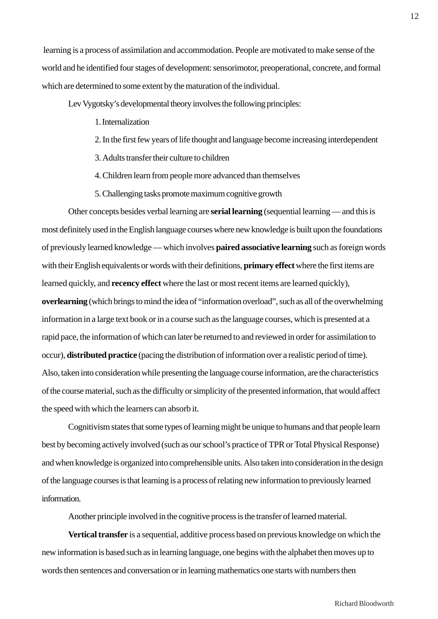learning is a process of assimilation and accommodation. People are motivated to make sense of the world and he identified four stages of development: sensorimotor, preoperational, concrete, and formal which are determined to some extent by the maturation of the individual.

Lev Vygotsky's developmental theory involves the following principles:

- 1. Internalization
- 2. In the first few years of life thought and language become increasing interdependent
- 3. Adults transfer their culture to children
- 4. Children learn from people more advanced than themselves
- 5. Challenging tasks promote maximum cognitive growth

Other concepts besides verbal learning are **serial learning** (sequential learning — and this is most definitely used in the English language courses where new knowledge is built upon the foundations of previously learned knowledge — which involves **paired associative learning** such as foreign words with their English equivalents or words with their definitions, **primary effect** where the first items are learned quickly, and **recency effect** where the last or most recent items are learned quickly), **overlearning** (which brings to mind the idea of "information overload", such as all of the overwhelming information in a large text book or in a course such as the language courses, which is presented at a rapid pace, the information of which can later be returned to and reviewed in order for assimilation to occur), **distributed practice** (pacing the distribution of information over a realistic period of time). Also, taken into consideration while presenting the language course information, are the characteristics of the course material, such as the difficulty or simplicity of the presented information, that would affect the speed with which the learners can absorb it.

Cognitivism states that some types of learning might be unique to humans and that people learn best by becoming actively involved (such as our school's practice of TPR or Total Physical Response) and when knowledge is organized into comprehensible units. Also taken into consideration in the design of the language courses is that learning is a process of relating new information to previously learned information.

Another principle involved in the cognitive process is the transfer of learned material.

**Vertical transfer** is a sequential, additive process based on previous knowledge on which the new information is based such as in learning language, one begins with the alphabet then moves up to words then sentences and conversation or in learning mathematics one starts with numbers then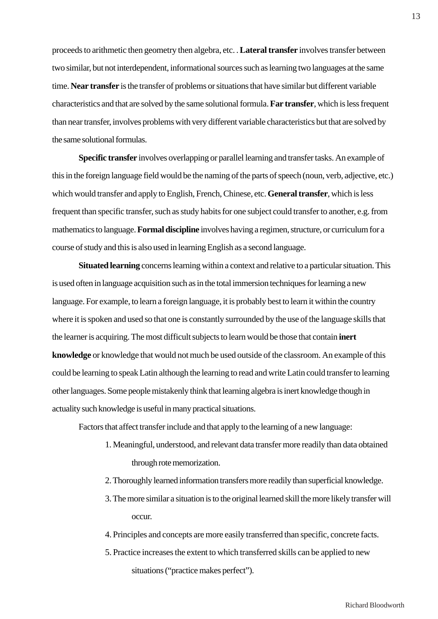proceeds to arithmetic then geometry then algebra, etc. . **Lateral transfer** involves transfer between two similar, but not interdependent, informational sources such as learning two languages at the same time. **Near transfer** is the transfer of problems or situations that have similar but different variable characteristics and that are solved by the same solutional formula. **Far transfer**, which is less frequent than near transfer, involves problems with very different variable characteristics but that are solved by the same solutional formulas.

**Specific transfer** involves overlapping or parallel learning and transfer tasks. An example of this in the foreign language field would be the naming of the parts of speech (noun, verb, adjective, etc.) which would transfer and apply to English, French, Chinese, etc. **General transfer**, which is less frequent than specific transfer, such as study habits for one subject could transfer to another, e.g. from mathematics to language. **Formal discipline** involves having a regimen, structure, or curriculum for a course of study and this is also used in learning English as a second language.

**Situated learning** concerns learning within a context and relative to a particular situation. This is used often in language acquisition such as in the total immersion techniques for learning a new language. For example, to learn a foreign language, it is probably best to learn it within the country where it is spoken and used so that one is constantly surrounded by the use of the language skills that the learner is acquiring. The most difficult subjects to learn would be those that contain **inert knowledge** or knowledge that would not much be used outside of the classroom. An example of this could be learning to speak Latin although the learning to read and write Latin could transfer to learning other languages. Some people mistakenly think that learning algebra is inert knowledge though in actuality such knowledge is useful in many practical situations.

Factors that affect transfer include and that apply to the learning of a new language:

- 1. Meaningful, understood, and relevant data transfer more readily than data obtained through rote memorization.
- 2. Thoroughly learned information transfers more readily than superficial knowledge.
- 3. The more similar a situation is to the original learned skill the more likely transfer will occur.
- 4. Principles and concepts are more easily transferred than specific, concrete facts.
- 5. Practice increases the extent to which transferred skills can be applied to new situations ("practice makes perfect").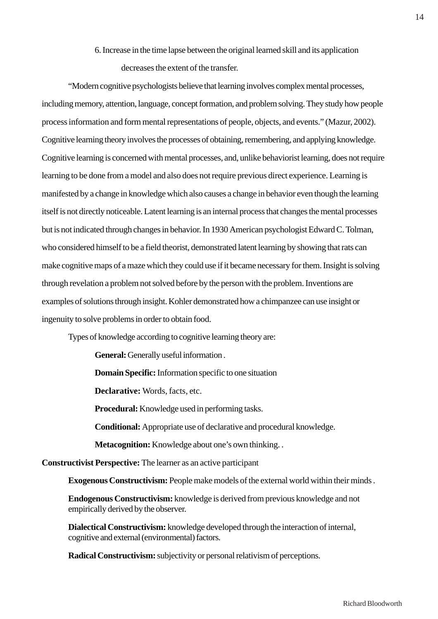# 6. Increase in the time lapse between the original learned skill and its application decreases the extent of the transfer.

"Modern cognitive psychologists believe that learning involves complex mental processes, including memory, attention, language, concept formation, and problem solving. They study how people process information and form mental representations of people, objects, and events." (Mazur, 2002). Cognitive learning theory involves the processes of obtaining, remembering, and applying knowledge. Cognitive learning is concerned with mental processes, and, unlike behaviorist learning, does not require learning to be done from a model and also does not require previous direct experience. Learning is manifested by a change in knowledge which also causes a change in behavior even though the learning itself is not directly noticeable. Latent learning is an internal process that changes the mental processes but is not indicated through changes in behavior. In 1930 American psychologist Edward C. Tolman, who considered himself to be a field theorist, demonstrated latent learning by showing that rats can make cognitive maps of a maze which they could use if it became necessary for them. Insight is solving through revelation a problem not solved before by the person with the problem. Inventions are examples of solutions through insight. Kohler demonstrated how a chimpanzee can use insight or ingenuity to solve problems in order to obtain food.

Types of knowledge according to cognitive learning theory are:

**General:** Generally useful information .

**Domain Specific:** Information specific to one situation

**Declarative:** Words, facts, etc.

**Procedural:** Knowledge used in performing tasks.

**Conditional:** Appropriate use of declarative and procedural knowledge.

**Metacognition:** Knowledge about one's own thinking. .

**Constructivist Perspective:** The learner as an active participant

**Exogenous Constructivism:** People make models of the external world within their minds .

**Endogenous Constructivism:** knowledge is derived from previous knowledge and not empirically derived by the observer.

**Dialectical Constructivism:** knowledge developed through the interaction of internal, cognitive and external (environmental) factors.

**Radical Constructivism:** subjectivity or personal relativism of perceptions.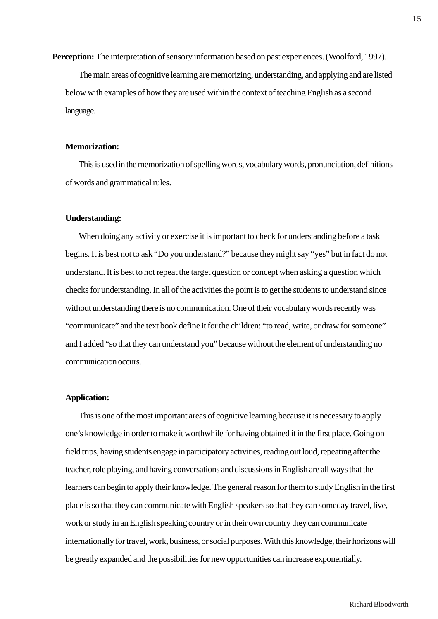**Perception:** The interpretation of sensory information based on past experiences. (Woolford, 1997).

The main areas of cognitive learning are memorizing, understanding, and applying and are listed below with examples of how they are used within the context of teaching English as a second language.

#### **Memorization:**

This is used in the memorization of spelling words, vocabulary words, pronunciation, definitions of words and grammatical rules.

#### **Understanding:**

When doing any activity or exercise it is important to check for understanding before a task begins. It is best not to ask "Do you understand?" because they might say "yes" but in fact do not understand. It is best to not repeat the target question or concept when asking a question which checks for understanding. In all of the activities the point is to get the students to understand since without understanding there is no communication. One of their vocabulary words recently was "communicate" and the text book define it for the children: "to read, write, or draw for someone" and I added "so that they can understand you" because without the element of understanding no communication occurs.

### **Application:**

This is one of the most important areas of cognitive learning because it is necessary to apply one's knowledge in order to make it worthwhile for having obtained it in the first place. Going on field trips, having students engage in participatory activities, reading out loud, repeating after the teacher, role playing, and having conversations and discussions in English are all ways that the learners can begin to apply their knowledge. The general reason for them to study English in the first place is so that they can communicate with English speakers so that they can someday travel, live, work or study in an English speaking country or in their own country they can communicate internationally for travel, work, business, or social purposes. With this knowledge, their horizons will be greatly expanded and the possibilities for new opportunities can increase exponentially.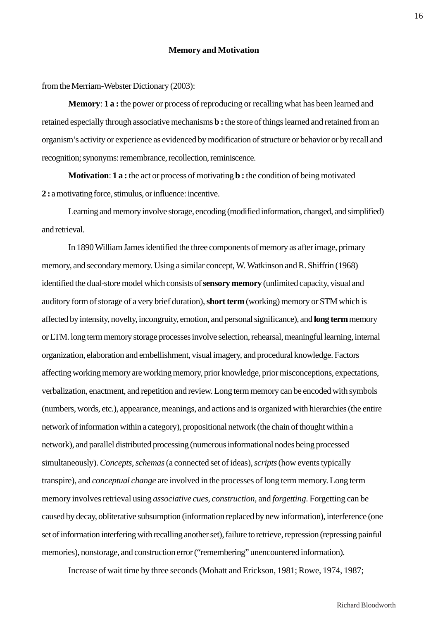from the Merriam-Webster Dictionary (2003):

**Memory**: **1 a :** the power or process of reproducing or recalling what has been learned and retained especially through associative mechanisms **b :** the store of things learned and retained from an organism's activity or experience as evidenced by modification of structure or behavior or by recall and recognition; synonyms: remembrance, recollection, reminiscence.

**Motivation**: **1 a :** the act or process of motivating **b :** the condition of being motivated **2 :** a motivating force, stimulus, or influence: incentive.

Learning and memory involve storage, encoding (modified information, changed, and simplified) and retrieval.

In 1890 William James identified the three components of memory as after image, primary memory, and secondary memory. Using a similar concept, W. Watkinson and R. Shiffrin (1968) identified the dual-store model which consists of **sensory memory** (unlimited capacity, visual and auditory form of storage of a very brief duration), **short term** (working) memory or STM which is affected by intensity, novelty, incongruity, emotion, and personal significance), and **long term** memory or LTM. long term memory storage processes involve selection, rehearsal, meaningful learning, internal organization, elaboration and embellishment, visual imagery, and procedural knowledge. Factors affecting working memory are working memory, prior knowledge, prior misconceptions, expectations, verbalization, enactment, and repetition and review. Long term memory can be encoded with symbols (numbers, words, etc.), appearance, meanings, and actions and is organized with hierarchies (the entire network of information within a category), propositional network (the chain of thought within a network), and parallel distributed processing (numerous informational nodes being processed simultaneously). *Concepts*, *schemas* (a connected set of ideas), *scripts* (how events typically transpire), and *conceptual change* are involved in the processes of long term memory. Long term memory involves retrieval using *associative cues*, *construction*, and *forgetting*. Forgetting can be caused by decay, obliterative subsumption (information replaced by new information), interference (one set of information interfering with recalling another set), failure to retrieve, repression (repressing painful memories), nonstorage, and construction error ("remembering" unencountered information).

Increase of wait time by three seconds (Mohatt and Erickson, 1981; Rowe, 1974, 1987;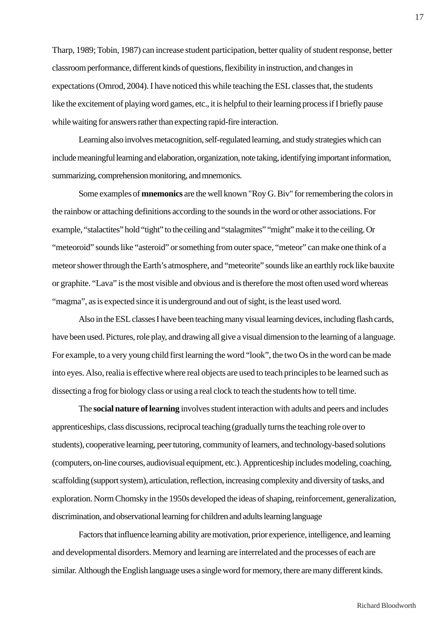Tharp, 1989; Tobin, 1987) can increase student participation, better quality of student response, better classroom performance, different kinds of questions, flexibility in instruction, and changes in expectations (Omrod, 2004). I have noticed this while teaching the ESL classes that, the students like the excitement of playing word games, etc., it is helpful to their learning process if I briefly pause while waiting for answers rather than expecting rapid-fire interaction.

Learning also involves metacognition, self-regulated learning, and study strategies which can include meaningful learning and elaboration, organization, note taking, identifying important information, summarizing, comprehension monitoring, and mnemonics.

Some examples of **mnemonics** are the well known "Roy G. Biv" for remembering the colors in the rainbow or attaching definitions according to the sounds in the word or other associations. For example, "stalactites" hold "tight" to the ceiling and "stalagmites" "might" make it to the ceiling. Or "meteoroid" sounds like "asteroid" or something from outer space, "meteor" can make one think of a meteor shower through the Earth's atmosphere, and "meteorite" sounds like an earthly rock like bauxite or graphite. "Lava" is the most visible and obvious and is therefore the most often used word whereas "magma", as is expected since it is underground and out of sight, is the least used word.

Also in the ESL classes I have been teaching many visual learning devices, including flash cards, have been used. Pictures, role play, and drawing all give a visual dimension to the learning of a language. For example, to a very young child first learning the word "look", the two Os in the word can be made into eyes. Also, realia is effective where real objects are used to teach principles to be learned such as dissecting a frog for biology class or using a real clock to teach the students how to tell time.

The **social nature of learning** involves student interaction with adults and peers and includes apprenticeships, class discussions, reciprocal teaching (gradually turns the teaching role over to students), cooperative learning, peer tutoring, community of learners, and technology-based solutions (computers, on-line courses, audiovisual equipment, etc.). Apprenticeship includes modeling, coaching, scaffolding (support system), articulation, reflection, increasing complexity and diversity of tasks, and exploration. Norm Chomsky in the 1950s developed the ideas of shaping, reinforcement, generalization, discrimination, and observational learning for children and adults learning language

Factors that influence learning ability are motivation, prior experience, intelligence, and learning and developmental disorders. Memory and learning are interrelated and the processes of each are similar. Although the English language uses a single word for memory, there are many different kinds.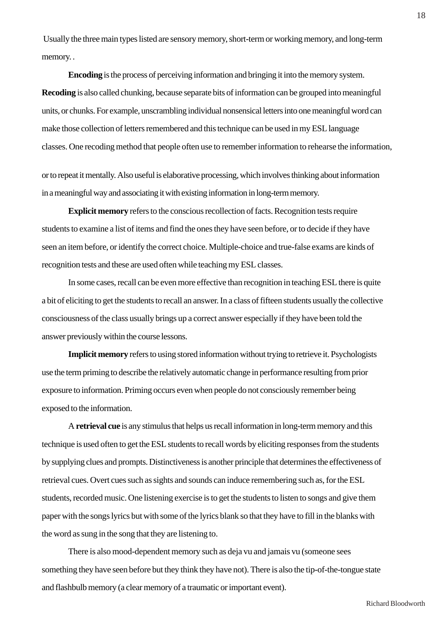Usually the three main types listed are sensory memory, short-term or working memory, and long-term memory. .

**Encoding** is the process of perceiving information and bringing it into the memory system. **Recoding** is also called chunking, because separate bits of information can be grouped into meaningful units, or chunks. For example, unscrambling individual nonsensical letters into one meaningful word can make those collection of letters remembered and this technique can be used in my ESL language classes. One recoding method that people often use to remember information to rehearse the information,

or to repeat it mentally. Also useful is elaborative processing, which involves thinking about information in a meaningful way and associating it with existing information in long-term memory.

**Explicit memory** refers to the conscious recollection of facts. Recognition tests require students to examine a list of items and find the ones they have seen before, or to decide if they have seen an item before, or identify the correct choice. Multiple-choice and true-false exams are kinds of recognition tests and these are used often while teaching my ESL classes.

In some cases, recall can be even more effective than recognition in teaching ESL there is quite a bit of eliciting to get the students to recall an answer. In a class of fifteen students usually the collective consciousness of the class usually brings up a correct answer especially if they have been told the answer previously within the course lessons.

**Implicit memory** refers to using stored information without trying to retrieve it. Psychologists use the term priming to describe the relatively automatic change in performance resulting from prior exposure to information. Priming occurs even when people do not consciously remember being exposed to the information.

A **retrieval cue** is any stimulus that helps us recall information in long-term memory and this technique is used often to get the ESL students to recall words by eliciting responses from the students by supplying clues and prompts. Distinctiveness is another principle that determines the effectiveness of retrieval cues. Overt cues such as sights and sounds can induce remembering such as, for the ESL students, recorded music. One listening exercise is to get the students to listen to songs and give them paper with the songs lyrics but with some of the lyrics blank so that they have to fill in the blanks with the word as sung in the song that they are listening to.

There is also mood-dependent memory such as deja vu and jamais vu (someone sees something they have seen before but they think they have not). There is also the tip-of-the-tongue state and flashbulb memory (a clear memory of a traumatic or important event).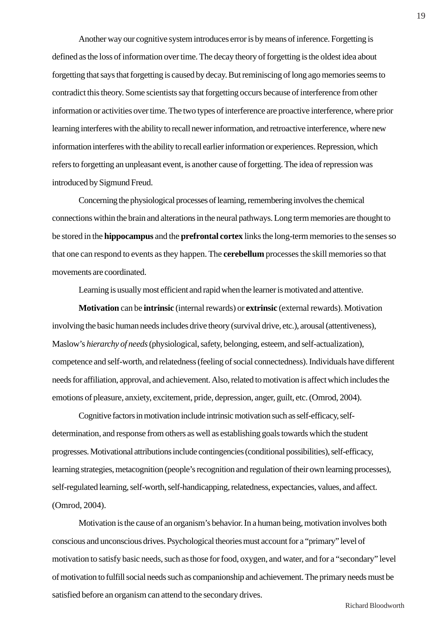Another way our cognitive system introduces error is by means of inference. Forgetting is defined as the loss of information over time. The decay theory of forgetting is the oldest idea about forgetting that says that forgetting is caused by decay. But reminiscing of long ago memories seems to contradict this theory. Some scientists say that forgetting occurs because of interference from other information or activities over time. The two types of interference are proactive interference, where prior learning interferes with the ability to recall newer information, and retroactive interference, where new information interferes with the ability to recall earlier information or experiences. Repression, which refers to forgetting an unpleasant event, is another cause of forgetting. The idea of repression was introduced by Sigmund Freud.

Concerning the physiological processes of learning, remembering involves the chemical connections within the brain and alterations in the neural pathways. Long term memories are thought to be stored in the **hippocampus** and the **prefrontal cortex** links the long-term memories to the senses so that one can respond to events as they happen. The **cerebellum** processes the skill memories so that movements are coordinated.

Learning is usually most efficient and rapid when the learner is motivated and attentive.

**Motivation** can be **intrinsic** (internal rewards) or **extrinsic** (external rewards). Motivation involving the basic human needs includes drive theory (survival drive, etc.), arousal (attentiveness), Maslow's *hierarchy of needs* (physiological, safety, belonging, esteem, and self-actualization), competence and self-worth, and relatedness (feeling of social connectedness). Individuals have different needs for affiliation, approval, and achievement. Also, related to motivation is affect which includes the emotions of pleasure, anxiety, excitement, pride, depression, anger, guilt, etc. (Omrod, 2004).

Cognitive factors in motivation include intrinsic motivation such as self-efficacy, selfdetermination, and response from others as well as establishing goals towards which the student progresses. Motivational attributions include contingencies (conditional possibilities), self-efficacy, learning strategies, metacognition (people's recognition and regulation of their own learning processes), self-regulated learning, self-worth, self-handicapping, relatedness, expectancies, values, and affect. (Omrod, 2004).

Motivation is the cause of an organism's behavior. In a human being, motivation involves both conscious and unconscious drives. Psychological theories must account for a "primary" level of motivation to satisfy basic needs, such as those for food, oxygen, and water, and for a "secondary" level of motivation to fulfill social needs such as companionship and achievement. The primary needs must be satisfied before an organism can attend to the secondary drives.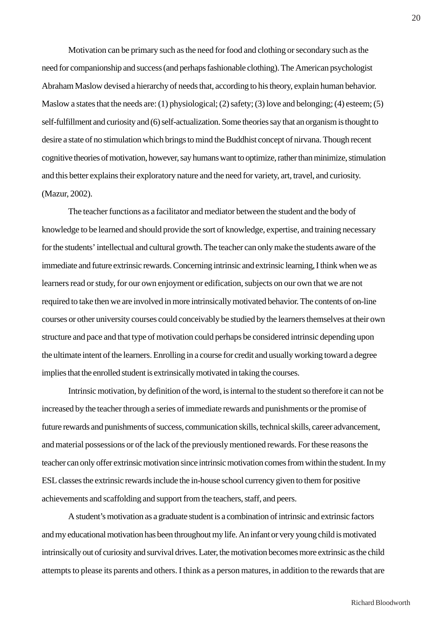Motivation can be primary such as the need for food and clothing or secondary such as the need for companionship and success (and perhaps fashionable clothing). The American psychologist Abraham Maslow devised a hierarchy of needs that, according to his theory, explain human behavior. Maslow a states that the needs are: (1) physiological; (2) safety; (3) love and belonging; (4) esteem; (5) self-fulfillment and curiosity and (6) self-actualization. Some theories say that an organism is thought to desire a state of no stimulation which brings to mind the Buddhist concept of nirvana. Though recent cognitive theories of motivation, however, say humans want to optimize, rather than minimize, stimulation and this better explains their exploratory nature and the need for variety, art, travel, and curiosity. (Mazur, 2002).

The teacher functions as a facilitator and mediator between the student and the body of knowledge to be learned and should provide the sort of knowledge, expertise, and training necessary for the students' intellectual and cultural growth. The teacher can only make the students aware of the immediate and future extrinsic rewards. Concerning intrinsic and extrinsic learning, I think when we as learners read or study, for our own enjoyment or edification, subjects on our own that we are not required to take then we are involved in more intrinsically motivated behavior. The contents of on-line courses or other university courses could conceivably be studied by the learners themselves at their own structure and pace and that type of motivation could perhaps be considered intrinsic depending upon the ultimate intent of the learners. Enrolling in a course for credit and usually working toward a degree implies that the enrolled student is extrinsically motivated in taking the courses.

Intrinsic motivation, by definition of the word, is internal to the student so therefore it can not be increased by the teacher through a series of immediate rewards and punishments or the promise of future rewards and punishments of success, communication skills, technical skills, career advancement, and material possessions or of the lack of the previously mentioned rewards. For these reasons the teacher can only offer extrinsic motivation since intrinsic motivation comes from within the student. In my ESL classes the extrinsic rewards include the in-house school currency given to them for positive achievements and scaffolding and support from the teachers, staff, and peers.

A student's motivation as a graduate student is a combination of intrinsic and extrinsic factors and my educational motivation has been throughout my life. An infant or very young child is motivated intrinsically out of curiosity and survival drives. Later, the motivation becomes more extrinsic as the child attempts to please its parents and others. I think as a person matures, in addition to the rewards that are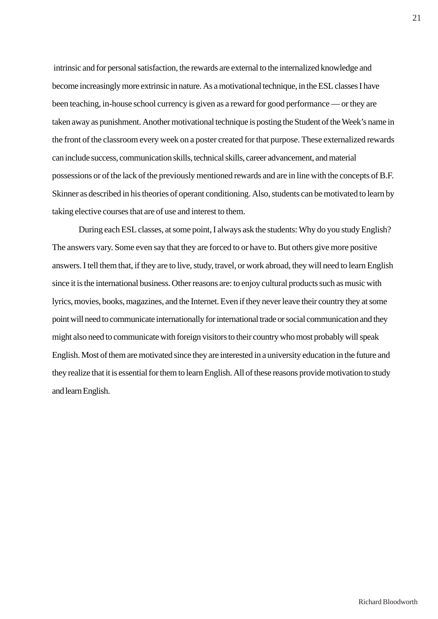intrinsic and for personal satisfaction, the rewards are external to the internalized knowledge and become increasingly more extrinsic in nature. As a motivational technique, in the ESL classes I have been teaching, in-house school currency is given as a reward for good performance — or they are taken away as punishment. Another motivational technique is posting the Student of the Week's name in the front of the classroom every week on a poster created for that purpose. These externalized rewards can include success, communication skills, technical skills, career advancement, and material possessions or of the lack of the previously mentioned rewards and are in line with the concepts of B.F. Skinner as described in his theories of operant conditioning. Also, students can be motivated to learn by taking elective courses that are of use and interest to them.

During each ESL classes, at some point, I always ask the students: Why do you study English? The answers vary. Some even say that they are forced to or have to. But others give more positive answers. I tell them that, if they are to live, study, travel, or work abroad, they will need to learn English since it is the international business. Other reasons are: to enjoy cultural products such as music with lyrics, movies, books, magazines, and the Internet. Even if they never leave their country they at some point will need to communicate internationally for international trade or social communication and they might also need to communicate with foreign visitors to their country who most probably will speak English. Most of them are motivated since they are interested in a university education in the future and they realize that it is essential for them to learn English. All of these reasons provide motivation to study and learn English.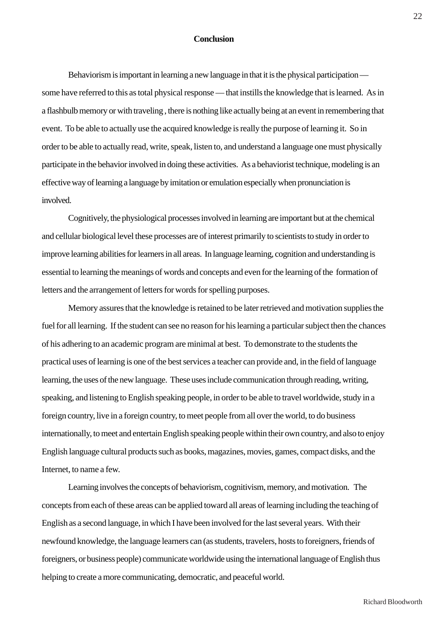## **Conclusion**

Behaviorism is important in learning a new language in that it is the physical participation some have referred to this as total physical response — that instills the knowledge that is learned. As in a flashbulb memory or with traveling , there is nothing like actually being at an event in remembering that event. To be able to actually use the acquired knowledge is really the purpose of learning it. So in order to be able to actually read, write, speak, listen to, and understand a language one must physically participate in the behavior involved in doing these activities. As a behaviorist technique, modeling is an effective way of learning a language by imitation or emulation especially when pronunciation is involved.

Cognitively, the physiological processes involved in learning are important but at the chemical and cellular biological level these processes are of interest primarily to scientists to study in order to improve learning abilities for learners in all areas. In language learning, cognition and understanding is essential to learning the meanings of words and concepts and even for the learning of the formation of letters and the arrangement of letters for words for spelling purposes.

Memory assures that the knowledge is retained to be later retrieved and motivation supplies the fuel for all learning. If the student can see no reason for his learning a particular subject then the chances of his adhering to an academic program are minimal at best. To demonstrate to the students the practical uses of learning is one of the best services a teacher can provide and, in the field of language learning, the uses of the new language. These uses include communication through reading, writing, speaking, and listening to English speaking people, in order to be able to travel worldwide, study in a foreign country, live in a foreign country, to meet people from all over the world, to do business internationally, to meet and entertain English speaking people within their own country, and also to enjoy English language cultural products such as books, magazines, movies, games, compact disks, and the Internet, to name a few.

Learning involves the concepts of behaviorism, cognitivism, memory, and motivation. The concepts from each of these areas can be applied toward all areas of learning including the teaching of English as a second language, in which I have been involved for the last several years. With their newfound knowledge, the language learners can (as students, travelers, hosts to foreigners, friends of foreigners, or business people) communicate worldwide using the international language of English thus helping to create a more communicating, democratic, and peaceful world.

22